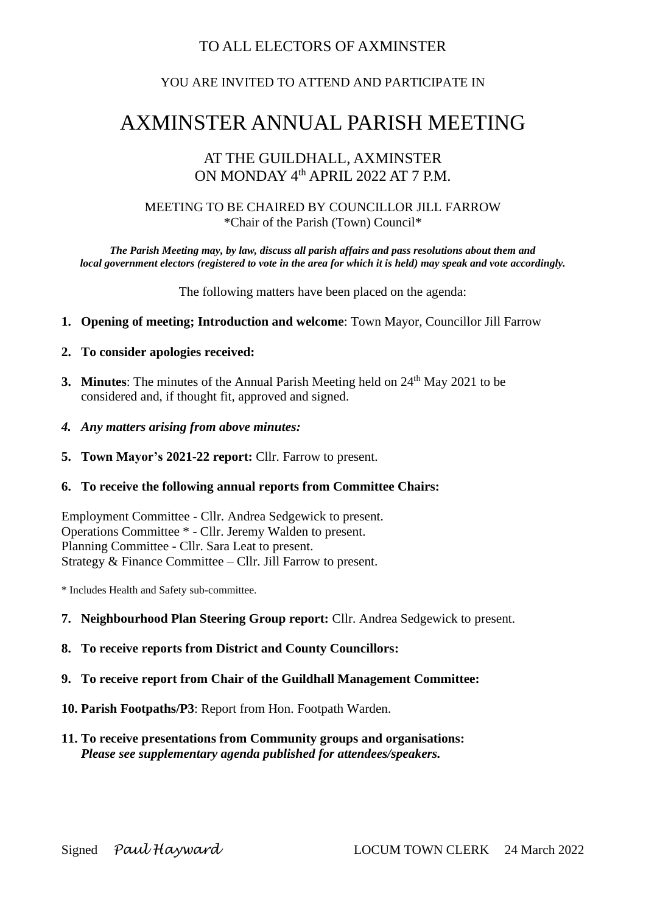## TO ALL ELECTORS OF AXMINSTER

### YOU ARE INVITED TO ATTEND AND PARTICIPATE IN

# AXMINSTER ANNUAL PARISH MEETING

## AT THE GUILDHALL, AXMINSTER ON MONDAY 4<sup>th</sup> APRIL 2022 AT 7 P.M.

#### MEETING TO BE CHAIRED BY COUNCILLOR JILL FARROW \*Chair of the Parish (Town) Council\*

*The Parish Meeting may, by law, discuss all parish affairs and pass resolutions about them and local government electors (registered to vote in the area for which it is held) may speak and vote accordingly.*

The following matters have been placed on the agenda:

- **1. Opening of meeting; Introduction and welcome**: Town Mayor, Councillor Jill Farrow
- **2. To consider apologies received:**
- **3. Minutes:** The minutes of the Annual Parish Meeting held on 24<sup>th</sup> May 2021 to be considered and, if thought fit, approved and signed.
- *4. Any matters arising from above minutes:*
- **5. Town Mayor's 2021-22 report:** Cllr. Farrow to present.

#### **6. To receive the following annual reports from Committee Chairs:**

Employment Committee - Cllr. Andrea Sedgewick to present. Operations Committee \* - Cllr. Jeremy Walden to present. Planning Committee - Cllr. Sara Leat to present. Strategy & Finance Committee – Cllr. Jill Farrow to present.

\* Includes Health and Safety sub-committee.

- **7. Neighbourhood Plan Steering Group report:** Cllr. Andrea Sedgewick to present.
- **8. To receive reports from District and County Councillors:**
- **9. To receive report from Chair of the Guildhall Management Committee:**
- **10. Parish Footpaths/P3**: Report from Hon. Footpath Warden.
- **11. To receive presentations from Community groups and organisations:** *Please see supplementary agenda published for attendees/speakers.*